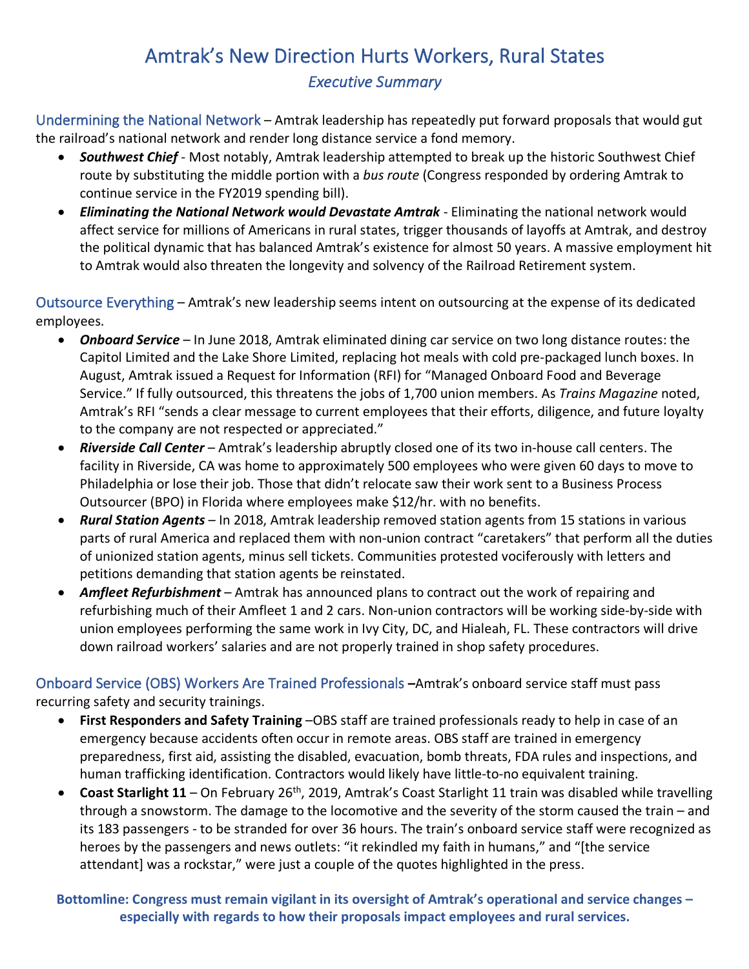# Amtrak's New Direction Hurts Workers, Rural States *Executive Summary*

Undermining the National Network – Amtrak leadership has repeatedly put forward proposals that would gut the railroad's national network and render long distance service a fond memory.

- *Southwest Chief* Most notably, Amtrak leadership attempted to break up the historic Southwest Chief route by substituting the middle portion with a *bus route* (Congress responded by ordering Amtrak to continue service in the FY2019 spending bill).
- *Eliminating the National Network would Devastate Amtrak* Eliminating the national network would affect service for millions of Americans in rural states, trigger thousands of layoffs at Amtrak, and destroy the political dynamic that has balanced Amtrak's existence for almost 50 years. A massive employment hit to Amtrak would also threaten the longevity and solvency of the Railroad Retirement system.

Outsource Everything – Amtrak's new leadership seems intent on outsourcing at the expense of its dedicated employees.

- *Onboard Service* In June 2018, Amtrak eliminated dining car service on two long distance routes: the Capitol Limited and the Lake Shore Limited, replacing hot meals with cold pre-packaged lunch boxes. In August, Amtrak issued a Request for Information (RFI) for "Managed Onboard Food and Beverage Service." If fully outsourced, this threatens the jobs of 1,700 union members. As *Trains Magazine* noted, Amtrak's RFI "sends a clear message to current employees that their efforts, diligence, and future loyalty to the company are not respected or appreciated."
- *Riverside Call Center* Amtrak's leadership abruptly closed one of its two in-house call centers. The facility in Riverside, CA was home to approximately 500 employees who were given 60 days to move to Philadelphia or lose their job. Those that didn't relocate saw their work sent to a Business Process Outsourcer (BPO) in Florida where employees make \$12/hr. with no benefits.
- *Rural Station Agents* In 2018, Amtrak leadership removed station agents from 15 stations in various parts of rural America and replaced them with non-union contract "caretakers" that perform all the duties of unionized station agents, minus sell tickets. Communities protested vociferously with letters and petitions demanding that station agents be reinstated.
- *Amfleet Refurbishment* Amtrak has announced plans to contract out the work of repairing and refurbishing much of their Amfleet 1 and 2 cars. Non-union contractors will be working side-by-side with union employees performing the same work in Ivy City, DC, and Hialeah, FL. These contractors will drive down railroad workers' salaries and are not properly trained in shop safety procedures.

Onboard Service (OBS) Workers Are Trained Professionals **–**Amtrak's onboard service staff must pass recurring safety and security trainings.

- **First Responders and Safety Training** –OBS staff are trained professionals ready to help in case of an emergency because accidents often occur in remote areas. OBS staff are trained in emergency preparedness, first aid, assisting the disabled, evacuation, bomb threats, FDA rules and inspections, and human trafficking identification. Contractors would likely have little-to-no equivalent training.
- Coast Starlight 11 On February 26<sup>th</sup>, 2019, Amtrak's Coast Starlight 11 train was disabled while travelling through a snowstorm. The damage to the locomotive and the severity of the storm caused the train – and its 183 passengers - to be stranded for over 36 hours. The train's onboard service staff were recognized as heroes by the passengers and news outlets: "it rekindled my faith in humans," and "[the service attendant] was a rockstar," were just a couple of the quotes highlighted in the press.

**Bottomline: Congress must remain vigilant in its oversight of Amtrak's operational and service changes – especially with regards to how their proposals impact employees and rural services.**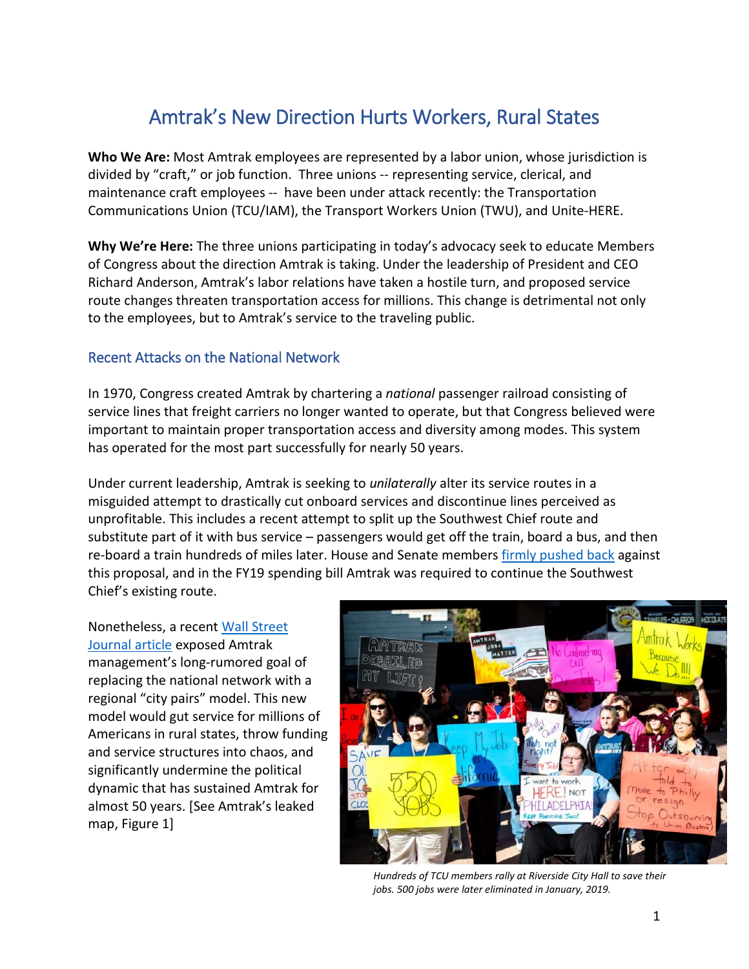# Amtrak's New Direction Hurts Workers, Rural States

**Who We Are:** Most Amtrak employees are represented by a labor union, whose jurisdiction is divided by "craft," or job function. Three unions -- representing service, clerical, and maintenance craft employees -- have been under attack recently: the Transportation Communications Union (TCU/IAM), the Transport Workers Union (TWU), and Unite-HERE.

**Why We're Here:** The three unions participating in today's advocacy seek to educate Members of Congress about the direction Amtrak is taking. Under the leadership of President and CEO Richard Anderson, Amtrak's labor relations have taken a hostile turn, and proposed service route changes threaten transportation access for millions. This change is detrimental not only to the employees, but to Amtrak's service to the traveling public.

### Recent Attacks on the National Network

In 1970, Congress created Amtrak by chartering a *national* passenger railroad consisting of service lines that freight carriers no longer wanted to operate, but that Congress believed were important to maintain proper transportation access and diversity among modes. This system has operated for the most part successfully for nearly 50 years.

Under current leadership, Amtrak is seeking to *unilaterally* alter its service routes in a misguided attempt to drastically cut onboard services and discontinue lines perceived as unprofitable. This includes a recent attempt to split up the Southwest Chief route and substitute part of it with bus service – passengers would get off the train, board a bus, and then re-board a train hundreds of miles later. House and Senate members [firmly pushed back](https://coloradosun.com/2018/10/08/amtrak-southwest-chief-changes-congress/) against this proposal, and in the FY19 spending bill Amtrak was required to continue the Southwest Chief's existing route.

Nonetheless, a recent [Wall Street](https://www.msn.com/en-us/money/companies/amtrak-plan-to-expand-ridership-could-sidetrack-storied-trains/ar-BBTQFFM)  [Journal article](https://www.msn.com/en-us/money/companies/amtrak-plan-to-expand-ridership-could-sidetrack-storied-trains/ar-BBTQFFM) exposed Amtrak management's long-rumored goal of replacing the national network with a regional "city pairs" model. This new model would gut service for millions of Americans in rural states, throw funding and service structures into chaos, and significantly undermine the political dynamic that has sustained Amtrak for almost 50 years. [See Amtrak's leaked map, Figure 1]



*Hundreds of TCU members rally at Riverside City Hall to save their jobs. 500 jobs were later eliminated in January, 2019.*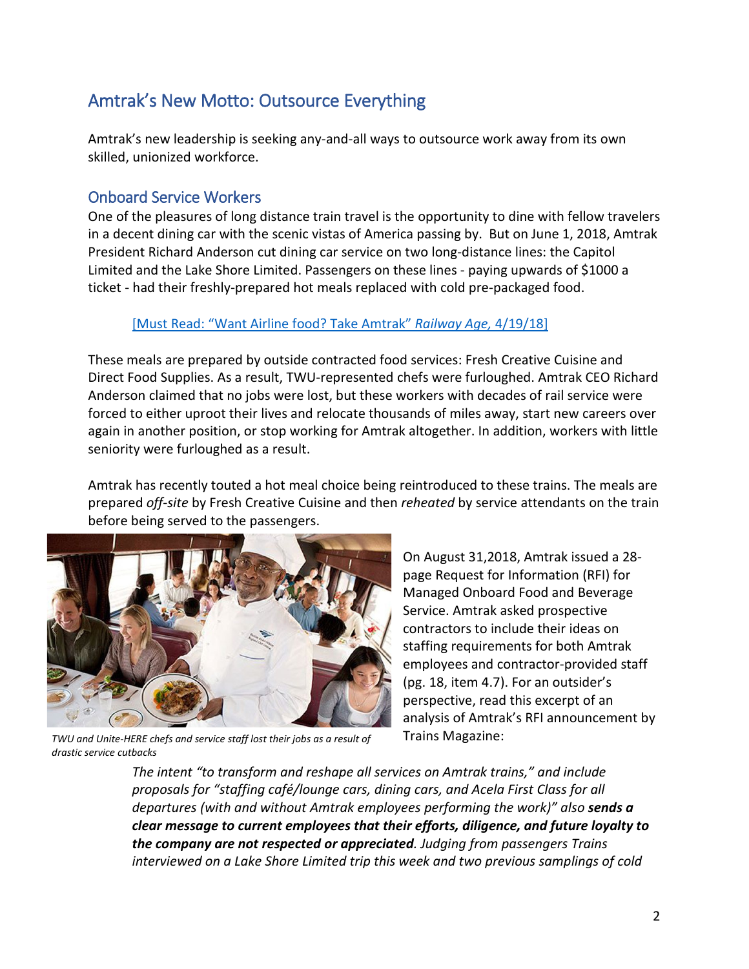# Amtrak's New Motto: Outsource Everything

Amtrak's new leadership is seeking any-and-all ways to outsource work away from its own skilled, unionized workforce.

# Onboard Service Workers

One of the pleasures of long distance train travel is the opportunity to dine with fellow travelers in a decent dining car with the scenic vistas of America passing by. But on June 1, 2018, Amtrak President Richard Anderson cut dining car service on two long-distance lines: the Capitol Limited and the Lake Shore Limited. Passengers on these lines - paying upwards of \$1000 a ticket - had their freshly-prepared hot meals replaced with cold pre-packaged food.

#### [\[Must Read: "Want Airline food? Take Amtrak"](https://www.railwayage.com/passenger/intercity/want-airline-food-take-amtrak/) *Railway Age,* 4/19/18]

These meals are prepared by outside contracted food services: Fresh Creative Cuisine and Direct Food Supplies. As a result, TWU-represented chefs were furloughed. Amtrak CEO Richard Anderson claimed that no jobs were lost, but these workers with decades of rail service were forced to either uproot their lives and relocate thousands of miles away, start new careers over again in another position, or stop working for Amtrak altogether. In addition, workers with little seniority were furloughed as a result.

Amtrak has recently touted a hot meal choice being reintroduced to these trains. The meals are prepared *off-site* by Fresh Creative Cuisine and then *reheated* by service attendants on the train before being served to the passengers.



*TWU and Unite-HERE chefs and service staff lost their jobs as a result of drastic service cutbacks*

On August 31,2018, Amtrak issued a 28 page Request for Information (RFI) for Managed Onboard Food and Beverage Service. Amtrak asked prospective contractors to include their ideas on staffing requirements for both Amtrak employees and contractor-provided staff (pg. 18, item 4.7). For an outsider's perspective, read this excerpt of an analysis of Amtrak's RFI announcement by Trains Magazine:

*The intent "to transform and reshape all services on Amtrak trains," and include proposals for "staffing café/lounge cars, dining cars, and Acela First Class for all departures (with and without Amtrak employees performing the work)" also sends a clear message to current employees that their efforts, diligence, and future loyalty to the company are not respected or appreciated. Judging from passengers Trains interviewed on a Lake Shore Limited trip this week and two previous samplings of cold*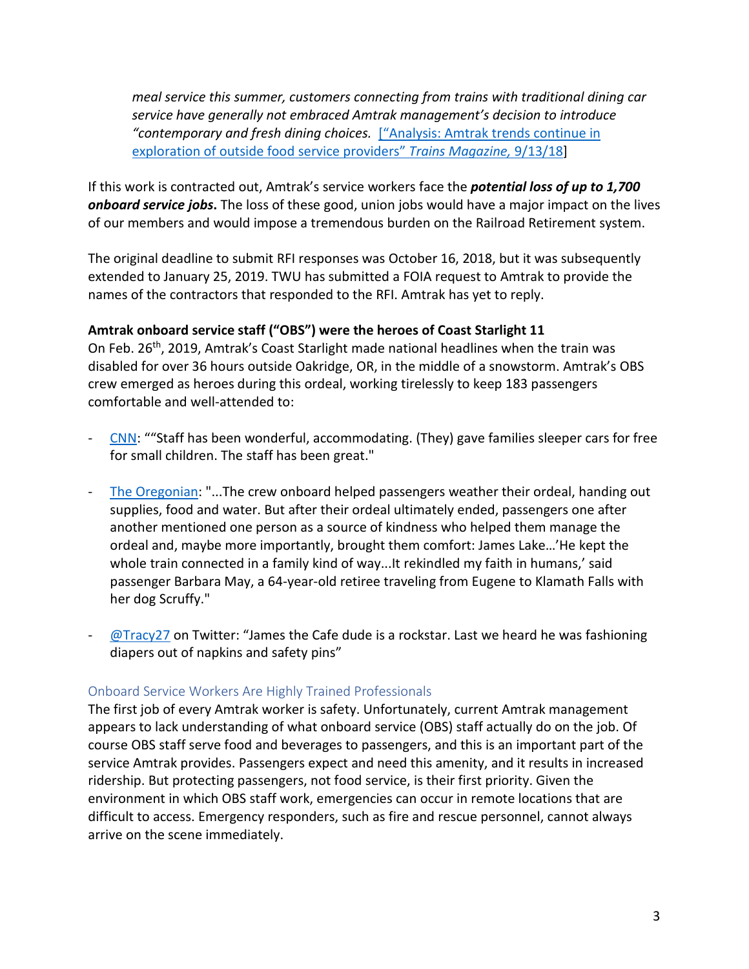*meal service this summer, customers connecting from trains with traditional dining car service have generally not embraced Amtrak management's decision to introduce "contemporary and fresh dining choices.* [\["Analysis: Amtrak trends continue in](http://trn.trains.com/news/news-wire/2018/09/13-analysis-amtrak-trends-continue-in-exploration-of-outside-food-service-providers)  [exploration of outside food service providers"](http://trn.trains.com/news/news-wire/2018/09/13-analysis-amtrak-trends-continue-in-exploration-of-outside-food-service-providers) *Trains Magazine,* 9/13/18]

If this work is contracted out, Amtrak's service workers face the *potential loss of up to 1,700 onboard service jobs***.** The loss of these good, union jobs would have a major impact on the lives of our members and would impose a tremendous burden on the Railroad Retirement system.

The original deadline to submit RFI responses was October 16, 2018, but it was subsequently extended to January 25, 2019. TWU has submitted a FOIA request to Amtrak to provide the names of the contractors that responded to the RFI. Amtrak has yet to reply.

#### **Amtrak onboard service staff ("OBS") were the heroes of Coast Starlight 11**

On Feb. 26th, 2019, Amtrak's Coast Starlight made national headlines when the train was disabled for over 36 hours outside Oakridge, OR, in the middle of a snowstorm. Amtrak's OBS crew emerged as heroes during this ordeal, working tirelessly to keep 183 passengers comfortable and well-attended to:

- [CNN:](https://www.cnn.com/us/live-news/amtrak-stranded-oregon/index.html?fbclid=IwAR1kHkttQT1SCeUMOZXGmA4XsDTzzRHtxdIvkmWFlrPJbaWU2h6WK-BtHjc) ""Staff has been wonderful, accommodating. (They) gave families sleeper cars for free for small children. The staff has been great."
- [The Oregonian:](https://www.oregonlive.com/news/2019/03/when-amtrak-train-stalled-in-oregon-snow-crewman-emerged-as-source-of-comfort.html?fbclid=IwAR2MQ0Ap0p9-uZqXUFwyVTpzFECXcqAeUdaQwM7c9SWnB432ef7xMrlzJ00) "...The crew onboard helped passengers weather their ordeal, handing out supplies, food and water. But after their ordeal ultimately ended, passengers one after another mentioned one person as a source of kindness who helped them manage the ordeal and, maybe more importantly, brought them comfort: James Lake…'He kept the whole train connected in a family kind of way...It rekindled my faith in humans,' said passenger Barbara May, a 64-year-old retiree traveling from Eugene to Klamath Falls with her dog Scruffy."
- $\omega$ Tracy27 on Twitter: "James the Cafe dude is a rockstar. Last we heard he was fashioning diapers out of napkins and safety pins"

#### Onboard Service Workers Are Highly Trained Professionals

The first job of every Amtrak worker is safety. Unfortunately, current Amtrak management appears to lack understanding of what onboard service (OBS) staff actually do on the job. Of course OBS staff serve food and beverages to passengers, and this is an important part of the service Amtrak provides. Passengers expect and need this amenity, and it results in increased ridership. But protecting passengers, not food service, is their first priority. Given the environment in which OBS staff work, emergencies can occur in remote locations that are difficult to access. Emergency responders, such as fire and rescue personnel, cannot always arrive on the scene immediately.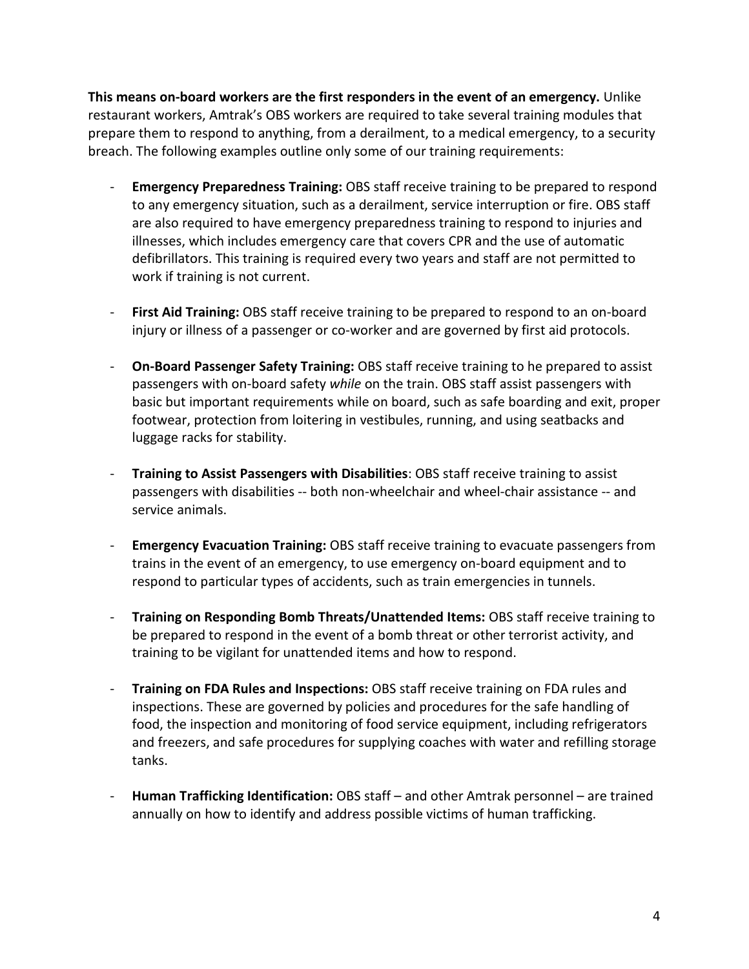**This means on-board workers are the first responders in the event of an emergency.** Unlike restaurant workers, Amtrak's OBS workers are required to take several training modules that prepare them to respond to anything, from a derailment, to a medical emergency, to a security breach. The following examples outline only some of our training requirements:

- **Emergency Preparedness Training:** OBS staff receive training to be prepared to respond to any emergency situation, such as a derailment, service interruption or fire. OBS staff are also required to have emergency preparedness training to respond to injuries and illnesses, which includes emergency care that covers CPR and the use of automatic defibrillators. This training is required every two years and staff are not permitted to work if training is not current.
- **First Aid Training:** OBS staff receive training to be prepared to respond to an on-board injury or illness of a passenger or co-worker and are governed by first aid protocols.
- **On-Board Passenger Safety Training:** OBS staff receive training to he prepared to assist passengers with on-board safety *while* on the train. OBS staff assist passengers with basic but important requirements while on board, such as safe boarding and exit, proper footwear, protection from loitering in vestibules, running, and using seatbacks and luggage racks for stability.
- **Training to Assist Passengers with Disabilities**: OBS staff receive training to assist passengers with disabilities -- both non-wheelchair and wheel-chair assistance -- and service animals.
- **Emergency Evacuation Training:** OBS staff receive training to evacuate passengers from trains in the event of an emergency, to use emergency on-board equipment and to respond to particular types of accidents, such as train emergencies in tunnels.
- **Training on Responding Bomb Threats/Unattended Items:** OBS staff receive training to be prepared to respond in the event of a bomb threat or other terrorist activity, and training to be vigilant for unattended items and how to respond.
- **Training on FDA Rules and Inspections:** OBS staff receive training on FDA rules and inspections. These are governed by policies and procedures for the safe handling of food, the inspection and monitoring of food service equipment, including refrigerators and freezers, and safe procedures for supplying coaches with water and refilling storage tanks.
- **Human Trafficking Identification:** OBS staff and other Amtrak personnel are trained annually on how to identify and address possible victims of human trafficking.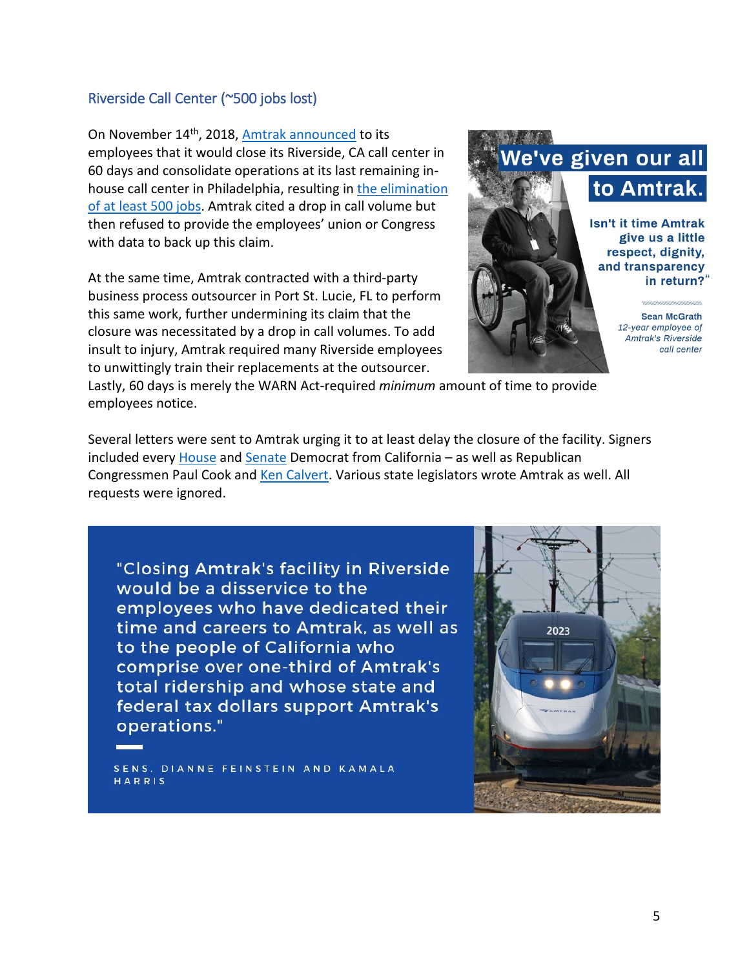#### Riverside Call Center (~500 jobs lost)

On November 14<sup>th</sup>, 2018, [Amtrak announced](https://www.goiam.org/news/territories/tcu-union/local-news-tcu/tcu-members-working-at-the-amtrak-call-center-in-riverside-ca-are-worried-and-angry-over-shutdown/) to its employees that it would close its Riverside, CA call center in 60 days and consolidate operations at its last remaining inhouse call center in Philadelphia, resulting in [the elimination](https://abc7.com/business/amtrak-workers-protest-scheduled-closure-of-riverside-call-center/4887020/)  [of at least 500 jobs.](https://abc7.com/business/amtrak-workers-protest-scheduled-closure-of-riverside-call-center/4887020/) Amtrak cited a drop in call volume but then refused to provide the employees' union or Congress with data to back up this claim.

At the same time, Amtrak contracted with a third-party business process outsourcer in Port St. Lucie, FL to perform this same work, further undermining its claim that the closure was necessitated by a drop in call volumes. To add insult to injury, Amtrak required many Riverside employees to unwittingly train their replacements at the outsourcer.



Lastly, 60 days is merely the WARN Act-required *minimum* amount of time to provide employees notice.

Several letters were sent to Amtrak urging it to at least delay the closure of the facility. Signers included every [House](https://takano.house.gov/newsroom/press-releases/rep-mark-takano-leads-bipartisan-letter-opposing-the-closure-of-amtraks-reservations-facility-in-riverside) an[d Senate](https://www.feinstein.senate.gov/public/index.cfm/press-releases?id=D5B231F6-D1DC-4EC9-80EC-C3F3AB669C35) Democrat from California – as well as Republican Congressmen Paul Cook and [Ken Calvert.](https://www.goiam.org/wp-content/uploads/2018/12/Rep.-Calver-ltr-to-Amtrak-12.11.18.pdf) Various state legislators wrote Amtrak as well. All requests were ignored.

"Closing Amtrak's facility in Riverside would be a disservice to the employees who have dedicated their time and careers to Amtrak, as well as to the people of California who comprise over one-third of Amtrak's total ridership and whose state and federal tax dollars support Amtrak's operations."

SENS. DIANNE FEINSTEIN AND KAMALA HARRIS

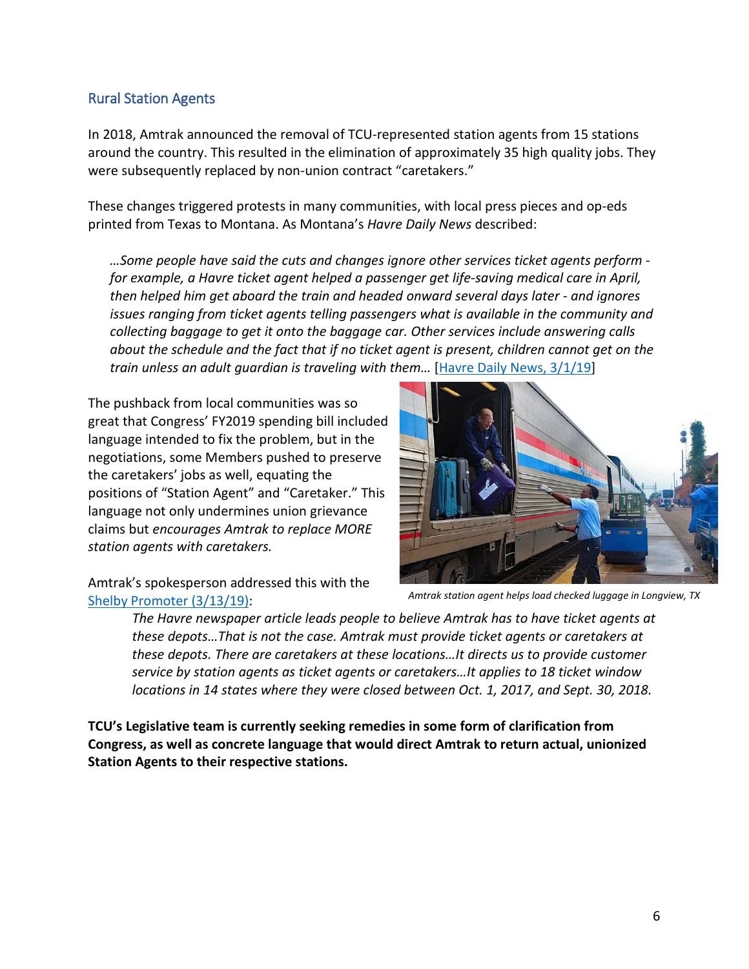### Rural Station Agents

In 2018, Amtrak announced the removal of TCU-represented station agents from 15 stations around the country. This resulted in the elimination of approximately 35 high quality jobs. They were subsequently replaced by non-union contract "caretakers."

These changes triggered protests in many communities, with local press pieces and op-eds printed from Texas to Montana. As Montana's *Havre Daily News* described:

*…Some people have said the cuts and changes ignore other services ticket agents perform for example, a Havre ticket agent helped a passenger get life-saving medical care in April, then helped him get aboard the train and headed onward several days later - and ignores issues ranging from ticket agents telling passengers what is available in the community and collecting baggage to get it onto the baggage car. Other services include answering calls about the schedule and the fact that if no ticket agent is present, children cannot get on the train unless an adult guardian is traveling with them…* [\[Havre Daily News, 3/1/19\]](https://www.havredailynews.com/story/2019/03/01/local/havre-shelby-look-to-get-customer-service-agents-at-amtrak-stations/522787.html)

The pushback from local communities was so great that Congress' FY2019 spending bill included language intended to fix the problem, but in the negotiations, some Members pushed to preserve the caretakers' jobs as well, equating the positions of "Station Agent" and "Caretaker." This language not only undermines union grievance claims but *encourages Amtrak to replace MORE station agents with caretakers.* 



Amtrak's spokesperson addressed this with the [Shelby Promoter](http://www.cutbankpioneerpress.com/shelby_promoter/news/article_85b0b2da-4516-11e9-a55a-8fc37bd0aeba.html) (3/13/19):

*The Havre newspaper article leads people to believe Amtrak has to have ticket agents at these depots…That is not the case. Amtrak must provide ticket agents or caretakers at these depots. There are caretakers at these locations…It directs us to provide customer service by station agents as ticket agents or caretakers…It applies to 18 ticket window locations in 14 states where they were closed between Oct. 1, 2017, and Sept. 30, 2018.*

**TCU's Legislative team is currently seeking remedies in some form of clarification from Congress, as well as concrete language that would direct Amtrak to return actual, unionized Station Agents to their respective stations.**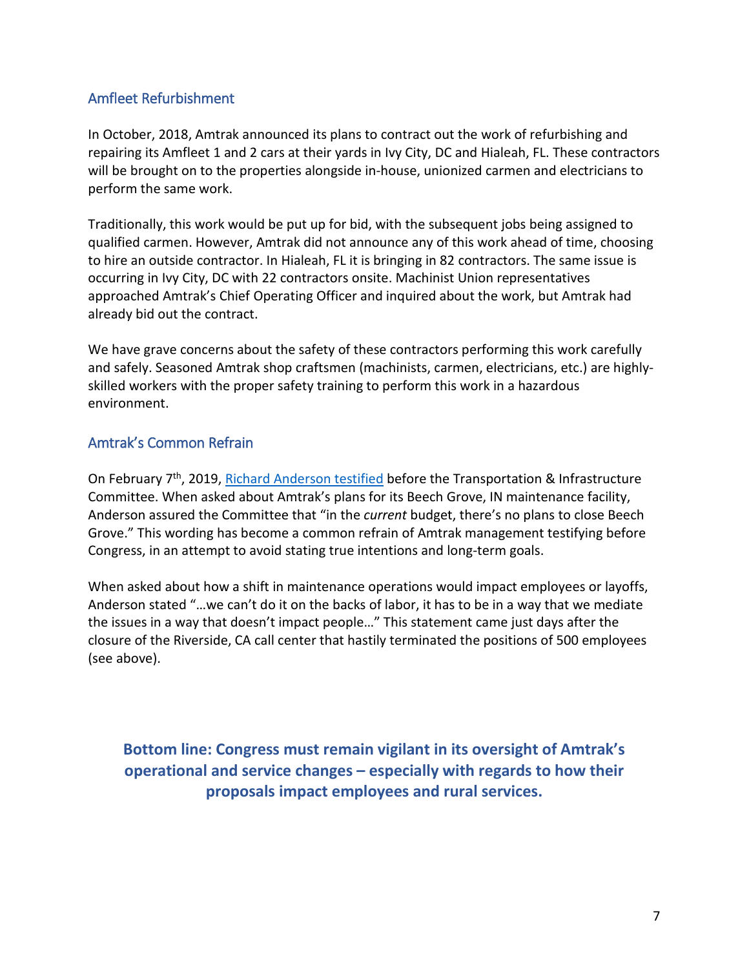## Amfleet Refurbishment

In October, 2018, Amtrak announced its plans to contract out the work of refurbishing and repairing its Amfleet 1 and 2 cars at their yards in Ivy City, DC and Hialeah, FL. These contractors will be brought on to the properties alongside in-house, unionized carmen and electricians to perform the same work.

Traditionally, this work would be put up for bid, with the subsequent jobs being assigned to qualified carmen. However, Amtrak did not announce any of this work ahead of time, choosing to hire an outside contractor. In Hialeah, FL it is bringing in 82 contractors. The same issue is occurring in Ivy City, DC with 22 contractors onsite. Machinist Union representatives approached Amtrak's Chief Operating Officer and inquired about the work, but Amtrak had already bid out the contract.

We have grave concerns about the safety of these contractors performing this work carefully and safely. Seasoned Amtrak shop craftsmen (machinists, carmen, electricians, etc.) are highlyskilled workers with the proper safety training to perform this work in a hazardous environment.

### Amtrak's Common Refrain

On February 7<sup>th</sup>, 2019, [Richard Anderson testified](https://transportation.house.gov/committee-activity/hearings/the-cost-of-doing-nothing-why-investing-in-our-nations-infrastructure-cannot-wait) before the Transportation & Infrastructure Committee. When asked about Amtrak's plans for its Beech Grove, IN maintenance facility, Anderson assured the Committee that "in the *current* budget, there's no plans to close Beech Grove." This wording has become a common refrain of Amtrak management testifying before Congress, in an attempt to avoid stating true intentions and long-term goals.

When asked about how a shift in maintenance operations would impact employees or layoffs, Anderson stated "…we can't do it on the backs of labor, it has to be in a way that we mediate the issues in a way that doesn't impact people…" This statement came just days after the closure of the Riverside, CA call center that hastily terminated the positions of 500 employees (see above).

**Bottom line: Congress must remain vigilant in its oversight of Amtrak's operational and service changes – especially with regards to how their proposals impact employees and rural services.**